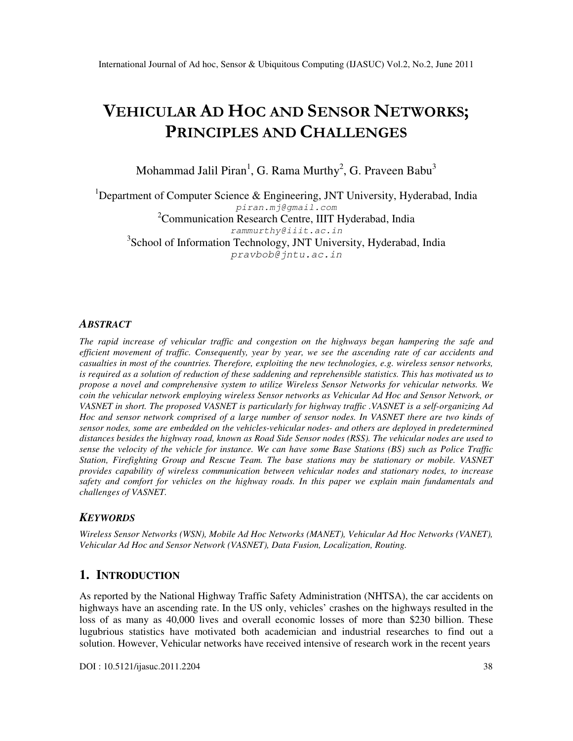# VEHICULAR AD HOC AND SENSOR NETWORKS; PRINCIPLES AND CHALLENGES

Mohammad Jalil Piran<sup>1</sup>, G. Rama Murthy<sup>2</sup>, G. Praveen Babu<sup>3</sup>

<sup>1</sup>Department of Computer Science & Engineering, JNT University, Hyderabad, India piran.mj@gmail.com  $2^2$ Communication Research Centre, IIIT Hyderabad, India rammurthy@iiit.ac.in <sup>3</sup>School of Information Technology, JNT University, Hyderabad, India pravbob@jntu.ac.in

### *ABSTRACT*

*The rapid increase of vehicular traffic and congestion on the highways began hampering the safe and efficient movement of traffic. Consequently, year by year, we see the ascending rate of car accidents and casualties in most of the countries. Therefore, exploiting the new technologies, e.g. wireless sensor networks, is required as a solution of reduction of these saddening and reprehensible statistics. This has motivated us to propose a novel and comprehensive system to utilize Wireless Sensor Networks for vehicular networks. We coin the vehicular network employing wireless Sensor networks as Vehicular Ad Hoc and Sensor Network, or VASNET in short. The proposed VASNET is particularly for highway traffic .VASNET is a self-organizing Ad Hoc and sensor network comprised of a large number of sensor nodes. In VASNET there are two kinds of sensor nodes, some are embedded on the vehicles-vehicular nodes- and others are deployed in predetermined distances besides the highway road, known as Road Side Sensor nodes (RSS). The vehicular nodes are used to sense the velocity of the vehicle for instance. We can have some Base Stations (BS) such as Police Traffic Station, Firefighting Group and Rescue Team. The base stations may be stationary or mobile. VASNET provides capability of wireless communication between vehicular nodes and stationary nodes, to increase safety and comfort for vehicles on the highway roads. In this paper we explain main fundamentals and challenges of VASNET.* 

#### *KEYWORDS*

*Wireless Sensor Networks (WSN), Mobile Ad Hoc Networks (MANET), Vehicular Ad Hoc Networks (VANET), Vehicular Ad Hoc and Sensor Network (VASNET), Data Fusion, Localization, Routing.* 

#### **1. INTRODUCTION**

As reported by the National Highway Traffic Safety Administration (NHTSA), the car accidents on highways have an ascending rate. In the US only, vehicles' crashes on the highways resulted in the loss of as many as 40,000 lives and overall economic losses of more than \$230 billion. These lugubrious statistics have motivated both academician and industrial researches to find out a solution. However, Vehicular networks have received intensive of research work in the recent years

DOI : 10.5121/ijasuc.2011.2204 38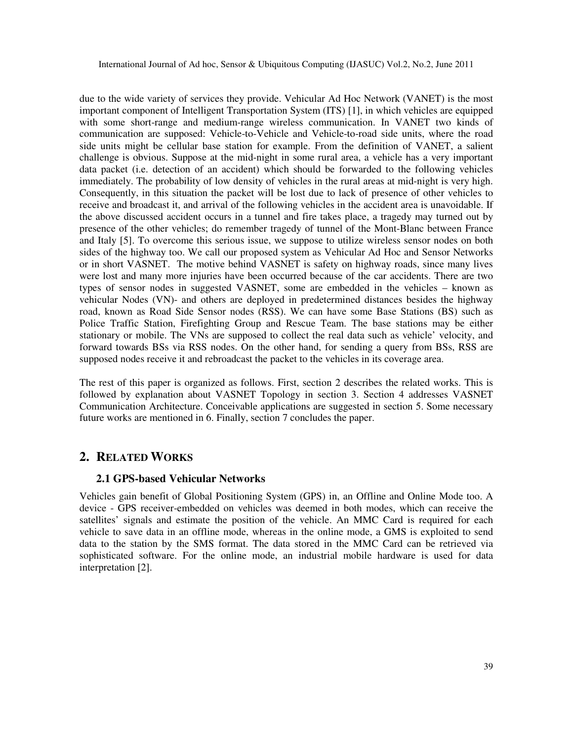due to the wide variety of services they provide. Vehicular Ad Hoc Network (VANET) is the most important component of Intelligent Transportation System (ITS) [1], in which vehicles are equipped with some short-range and medium-range wireless communication. In VANET two kinds of communication are supposed: Vehicle-to-Vehicle and Vehicle-to-road side units, where the road side units might be cellular base station for example. From the definition of VANET, a salient challenge is obvious. Suppose at the mid-night in some rural area, a vehicle has a very important data packet (i.e. detection of an accident) which should be forwarded to the following vehicles immediately. The probability of low density of vehicles in the rural areas at mid-night is very high. Consequently, in this situation the packet will be lost due to lack of presence of other vehicles to receive and broadcast it, and arrival of the following vehicles in the accident area is unavoidable. If the above discussed accident occurs in a tunnel and fire takes place, a tragedy may turned out by presence of the other vehicles; do remember tragedy of tunnel of the Mont-Blanc between France and Italy [5]. To overcome this serious issue, we suppose to utilize wireless sensor nodes on both sides of the highway too. We call our proposed system as Vehicular Ad Hoc and Sensor Networks or in short VASNET. The motive behind VASNET is safety on highway roads, since many lives were lost and many more injuries have been occurred because of the car accidents. There are two types of sensor nodes in suggested VASNET, some are embedded in the vehicles – known as vehicular Nodes (VN)- and others are deployed in predetermined distances besides the highway road, known as Road Side Sensor nodes (RSS). We can have some Base Stations (BS) such as Police Traffic Station, Firefighting Group and Rescue Team. The base stations may be either stationary or mobile. The VNs are supposed to collect the real data such as vehicle' velocity, and forward towards BSs via RSS nodes. On the other hand, for sending a query from BSs, RSS are supposed nodes receive it and rebroadcast the packet to the vehicles in its coverage area.

The rest of this paper is organized as follows. First, section 2 describes the related works. This is followed by explanation about VASNET Topology in section 3. Section 4 addresses VASNET Communication Architecture. Conceivable applications are suggested in section 5. Some necessary future works are mentioned in 6. Finally, section 7 concludes the paper.

# **2. RELATED WORKS**

#### **2.1 GPS-based Vehicular Networks**

Vehicles gain benefit of Global Positioning System (GPS) in, an Offline and Online Mode too. A device - GPS receiver-embedded on vehicles was deemed in both modes, which can receive the satellites' signals and estimate the position of the vehicle. An MMC Card is required for each vehicle to save data in an offline mode, whereas in the online mode, a GMS is exploited to send data to the station by the SMS format. The data stored in the MMC Card can be retrieved via sophisticated software. For the online mode, an industrial mobile hardware is used for data interpretation [2].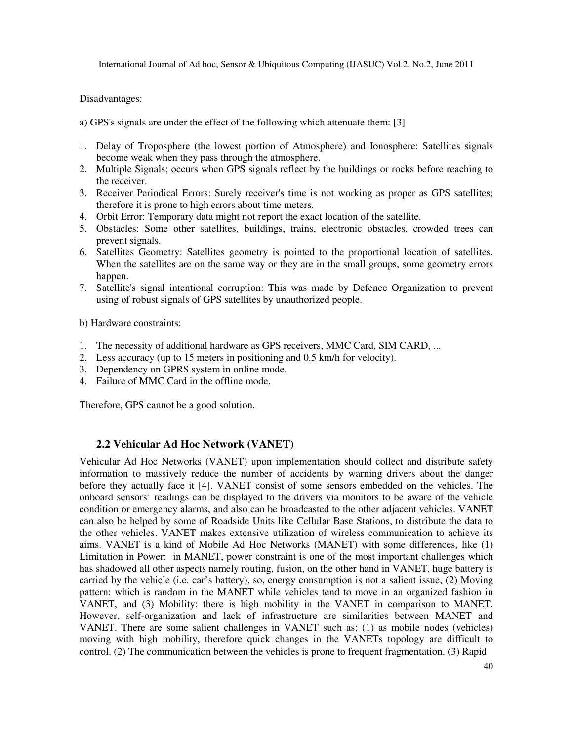Disadvantages:

a) GPS's signals are under the effect of the following which attenuate them: [3]

- 1. Delay of Troposphere (the lowest portion of Atmosphere) and Ionosphere: Satellites signals become weak when they pass through the atmosphere.
- 2. Multiple Signals; occurs when GPS signals reflect by the buildings or rocks before reaching to the receiver.
- 3. Receiver Periodical Errors: Surely receiver's time is not working as proper as GPS satellites; therefore it is prone to high errors about time meters.
- 4. Orbit Error: Temporary data might not report the exact location of the satellite.
- 5. Obstacles: Some other satellites, buildings, trains, electronic obstacles, crowded trees can prevent signals.
- 6. Satellites Geometry: Satellites geometry is pointed to the proportional location of satellites. When the satellites are on the same way or they are in the small groups, some geometry errors happen.
- 7. Satellite's signal intentional corruption: This was made by Defence Organization to prevent using of robust signals of GPS satellites by unauthorized people.

b) Hardware constraints:

- 1. The necessity of additional hardware as GPS receivers, MMC Card, SIM CARD, ...
- 2. Less accuracy (up to 15 meters in positioning and 0.5 km/h for velocity).
- 3. Dependency on GPRS system in online mode.
- 4. Failure of MMC Card in the offline mode.

Therefore, GPS cannot be a good solution.

#### **2.2 Vehicular Ad Hoc Network (VANET)**

Vehicular Ad Hoc Networks (VANET) upon implementation should collect and distribute safety information to massively reduce the number of accidents by warning drivers about the danger before they actually face it [4]. VANET consist of some sensors embedded on the vehicles. The onboard sensors' readings can be displayed to the drivers via monitors to be aware of the vehicle condition or emergency alarms, and also can be broadcasted to the other adjacent vehicles. VANET can also be helped by some of Roadside Units like Cellular Base Stations, to distribute the data to the other vehicles. VANET makes extensive utilization of wireless communication to achieve its aims. VANET is a kind of Mobile Ad Hoc Networks (MANET) with some differences, like (1) Limitation in Power: in MANET, power constraint is one of the most important challenges which has shadowed all other aspects namely routing, fusion, on the other hand in VANET, huge battery is carried by the vehicle (i.e. car's battery), so, energy consumption is not a salient issue, (2) Moving pattern: which is random in the MANET while vehicles tend to move in an organized fashion in VANET, and (3) Mobility: there is high mobility in the VANET in comparison to MANET. However, self-organization and lack of infrastructure are similarities between MANET and VANET. There are some salient challenges in VANET such as; (1) as mobile nodes (vehicles) moving with high mobility, therefore quick changes in the VANETs topology are difficult to control. (2) The communication between the vehicles is prone to frequent fragmentation. (3) Rapid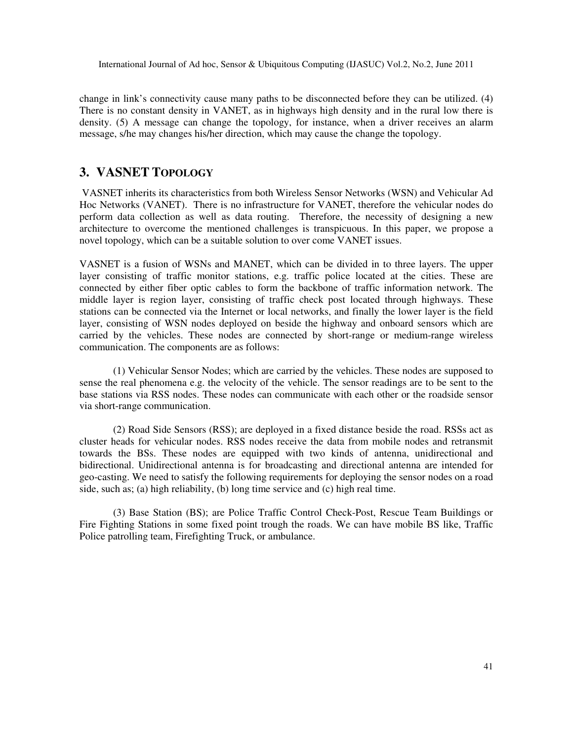change in link's connectivity cause many paths to be disconnected before they can be utilized. (4) There is no constant density in VANET, as in highways high density and in the rural low there is density. (5) A message can change the topology, for instance, when a driver receives an alarm message, s/he may changes his/her direction, which may cause the change the topology.

# **3. VASNET TOPOLOGY**

 VASNET inherits its characteristics from both Wireless Sensor Networks (WSN) and Vehicular Ad Hoc Networks (VANET). There is no infrastructure for VANET, therefore the vehicular nodes do perform data collection as well as data routing. Therefore, the necessity of designing a new architecture to overcome the mentioned challenges is transpicuous. In this paper, we propose a novel topology, which can be a suitable solution to over come VANET issues.

VASNET is a fusion of WSNs and MANET, which can be divided in to three layers. The upper layer consisting of traffic monitor stations, e.g. traffic police located at the cities. These are connected by either fiber optic cables to form the backbone of traffic information network. The middle layer is region layer, consisting of traffic check post located through highways. These stations can be connected via the Internet or local networks, and finally the lower layer is the field layer, consisting of WSN nodes deployed on beside the highway and onboard sensors which are carried by the vehicles. These nodes are connected by short-range or medium-range wireless communication. The components are as follows:

(1) Vehicular Sensor Nodes; which are carried by the vehicles. These nodes are supposed to sense the real phenomena e.g. the velocity of the vehicle. The sensor readings are to be sent to the base stations via RSS nodes. These nodes can communicate with each other or the roadside sensor via short-range communication.

(2) Road Side Sensors (RSS); are deployed in a fixed distance beside the road. RSSs act as cluster heads for vehicular nodes. RSS nodes receive the data from mobile nodes and retransmit towards the BSs. These nodes are equipped with two kinds of antenna, unidirectional and bidirectional. Unidirectional antenna is for broadcasting and directional antenna are intended for geo-casting. We need to satisfy the following requirements for deploying the sensor nodes on a road side, such as; (a) high reliability, (b) long time service and (c) high real time.

(3) Base Station (BS); are Police Traffic Control Check-Post, Rescue Team Buildings or Fire Fighting Stations in some fixed point trough the roads. We can have mobile BS like, Traffic Police patrolling team, Firefighting Truck, or ambulance.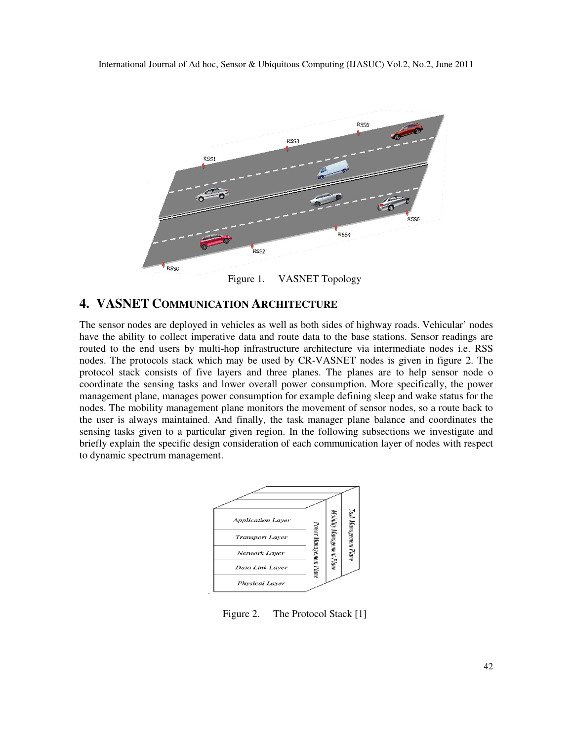

# **4. VASNET COMMUNICATION ARCHITECTURE**

The sensor nodes are deployed in vehicles as well as both sides of highway roads. Vehicular' nodes have the ability to collect imperative data and route data to the base stations. Sensor readings are routed to the end users by multi-hop infrastructure architecture via intermediate nodes i.e. RSS nodes. The protocols stack which may be used by CR-VASNET nodes is given in figure 2. The protocol stack consists of five layers and three planes. The planes are to help sensor node o coordinate the sensing tasks and lower overall power consumption. More specifically, the power management plane, manages power consumption for example defining sleep and wake status for the nodes. The mobility management plane monitors the movement of sensor nodes, so a route back to the user is always maintained. And finally, the task manager plane balance and coordinates the sensing tasks given to a particular given region. In the following subsections we investigate and briefly explain the specific design consideration of each communication layer of nodes with respect to dynamic spectrum management.



Figure 2. The Protocol Stack [1]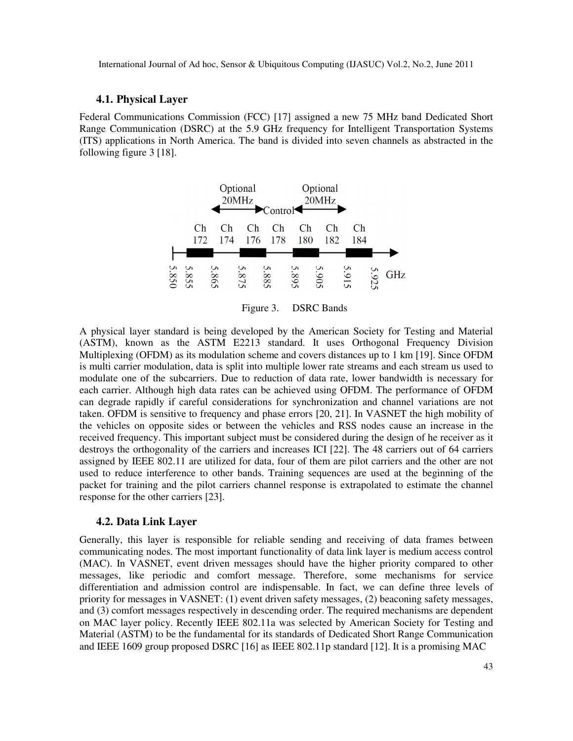#### **4.1. Physical Layer**

Federal Communications Commission (FCC) [17] assigned a new 75 MHz band Dedicated Short Range Communication (DSRC) at the 5.9 GHz frequency for Intelligent Transportation Systems (ITS) applications in North America. The band is divided into seven channels as abstracted in the following figure 3 [18].



Figure 3. DSRC Bands

A physical layer standard is being developed by the American Society for Testing and Material (ASTM), known as the ASTM E2213 standard. It uses Orthogonal Frequency Division Multiplexing (OFDM) as its modulation scheme and covers distances up to 1 km [19]. Since OFDM is multi carrier modulation, data is split into multiple lower rate streams and each stream us used to modulate one of the subcarriers. Due to reduction of data rate, lower bandwidth is necessary for each carrier. Although high data rates can be achieved using OFDM. The performance of OFDM can degrade rapidly if careful considerations for synchronization and channel variations are not taken. OFDM is sensitive to frequency and phase errors [20, 21]. In VASNET the high mobility of the vehicles on opposite sides or between the vehicles and RSS nodes cause an increase in the received frequency. This important subject must be considered during the design of he receiver as it destroys the orthogonality of the carriers and increases ICI [22]. The 48 carriers out of 64 carriers assigned by IEEE 802.11 are utilized for data, four of them are pilot carriers and the other are not used to reduce interference to other bands. Training sequences are used at the beginning of the packet for training and the pilot carriers channel response is extrapolated to estimate the channel response for the other carriers [23].

#### **4.2. Data Link Layer**

Generally, this layer is responsible for reliable sending and receiving of data frames between communicating nodes. The most important functionality of data link layer is medium access control (MAC). In VASNET, event driven messages should have the higher priority compared to other messages, like periodic and comfort message. Therefore, some mechanisms for service differentiation and admission control are indispensable. In fact, we can define three levels of priority for messages in VASNET: (1) event driven safety messages, (2) beaconing safety messages, and (3) comfort messages respectively in descending order. The required mechanisms are dependent on MAC layer policy. Recently IEEE 802.11a was selected by American Society for Testing and Material (ASTM) to be the fundamental for its standards of Dedicated Short Range Communication and IEEE 1609 group proposed DSRC [16] as IEEE 802.11p standard [12]. It is a promising MAC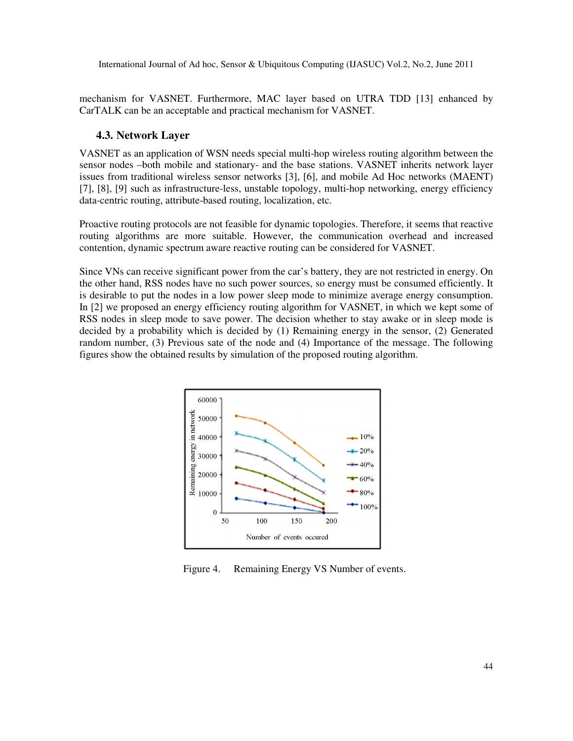mechanism for VASNET. Furthermore, MAC layer based on UTRA TDD [13] enhanced by CarTALK can be an acceptable and practical mechanism for VASNET.

#### **4.3. Network Layer**

VASNET as an application of WSN needs special multi-hop wireless routing algorithm between the sensor nodes –both mobile and stationary- and the base stations. VASNET inherits network layer issues from traditional wireless sensor networks [3], [6], and mobile Ad Hoc networks (MAENT) [7], [8], [9] such as infrastructure-less, unstable topology, multi-hop networking, energy efficiency data-centric routing, attribute-based routing, localization, etc.

Proactive routing protocols are not feasible for dynamic topologies. Therefore, it seems that reactive routing algorithms are more suitable. However, the communication overhead and increased contention, dynamic spectrum aware reactive routing can be considered for VASNET.

Since VNs can receive significant power from the car's battery, they are not restricted in energy. On the other hand, RSS nodes have no such power sources, so energy must be consumed efficiently. It is desirable to put the nodes in a low power sleep mode to minimize average energy consumption. In [2] we proposed an energy efficiency routing algorithm for VASNET, in which we kept some of RSS nodes in sleep mode to save power. The decision whether to stay awake or in sleep mode is decided by a probability which is decided by (1) Remaining energy in the sensor, (2) Generated random number, (3) Previous sate of the node and (4) Importance of the message. The following figures show the obtained results by simulation of the proposed routing algorithm.



Figure 4. Remaining Energy VS Number of events.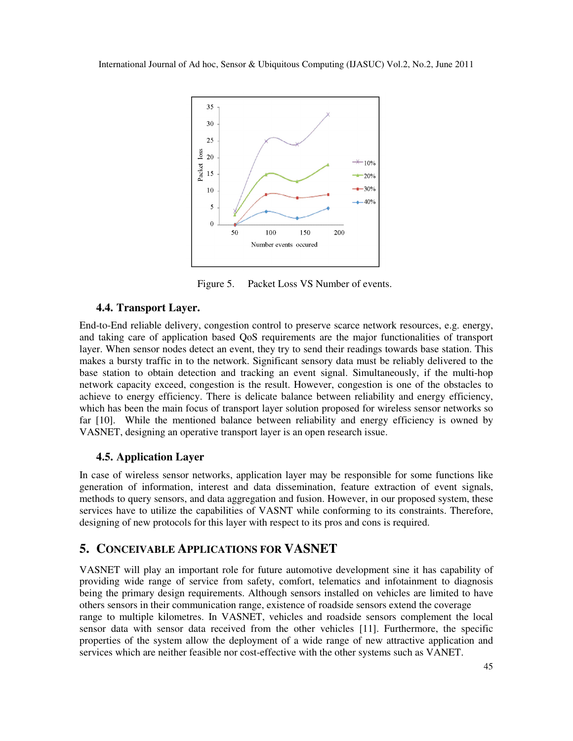

Figure 5. Packet Loss VS Number of events.

### **4.4. Transport Layer.**

End-to-End reliable delivery, congestion control to preserve scarce network resources, e.g. energy, and taking care of application based QoS requirements are the major functionalities of transport layer. When sensor nodes detect an event, they try to send their readings towards base station. This makes a bursty traffic in to the network. Significant sensory data must be reliably delivered to the base station to obtain detection and tracking an event signal. Simultaneously, if the multi-hop network capacity exceed, congestion is the result. However, congestion is one of the obstacles to achieve to energy efficiency. There is delicate balance between reliability and energy efficiency, which has been the main focus of transport layer solution proposed for wireless sensor networks so far [10]. While the mentioned balance between reliability and energy efficiency is owned by VASNET, designing an operative transport layer is an open research issue.

## **4.5. Application Layer**

In case of wireless sensor networks, application layer may be responsible for some functions like generation of information, interest and data dissemination, feature extraction of event signals, methods to query sensors, and data aggregation and fusion. However, in our proposed system, these services have to utilize the capabilities of VASNT while conforming to its constraints. Therefore, designing of new protocols for this layer with respect to its pros and cons is required.

## **5. CONCEIVABLE APPLICATIONS FOR VASNET**

VASNET will play an important role for future automotive development sine it has capability of providing wide range of service from safety, comfort, telematics and infotainment to diagnosis being the primary design requirements. Although sensors installed on vehicles are limited to have others sensors in their communication range, existence of roadside sensors extend the coverage range to multiple kilometres. In VASNET, vehicles and roadside sensors complement the local sensor data with sensor data received from the other vehicles [11]. Furthermore, the specific properties of the system allow the deployment of a wide range of new attractive application and services which are neither feasible nor cost-effective with the other systems such as VANET.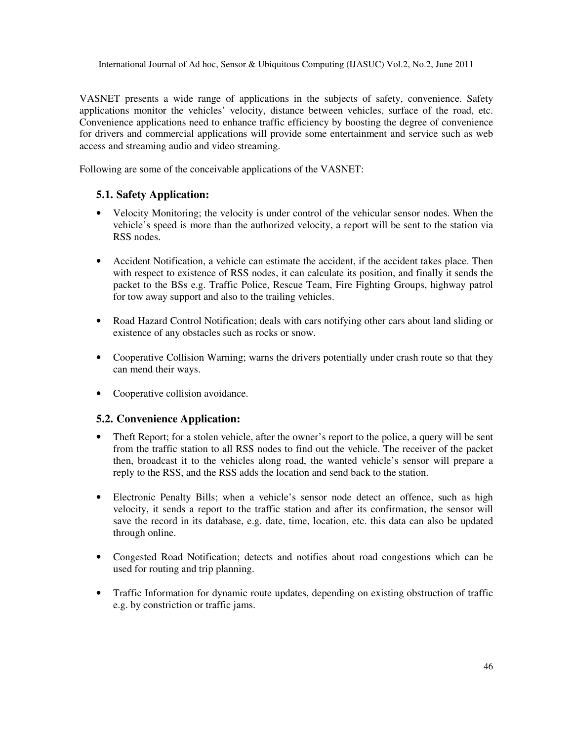VASNET presents a wide range of applications in the subjects of safety, convenience. Safety applications monitor the vehicles' velocity, distance between vehicles, surface of the road, etc. Convenience applications need to enhance traffic efficiency by boosting the degree of convenience for drivers and commercial applications will provide some entertainment and service such as web access and streaming audio and video streaming.

Following are some of the conceivable applications of the VASNET:

#### **5.1. Safety Application:**

- Velocity Monitoring; the velocity is under control of the vehicular sensor nodes. When the vehicle's speed is more than the authorized velocity, a report will be sent to the station via RSS nodes.
- Accident Notification, a vehicle can estimate the accident, if the accident takes place. Then with respect to existence of RSS nodes, it can calculate its position, and finally it sends the packet to the BSs e.g. Traffic Police, Rescue Team, Fire Fighting Groups, highway patrol for tow away support and also to the trailing vehicles.
- Road Hazard Control Notification; deals with cars notifying other cars about land sliding or existence of any obstacles such as rocks or snow.
- Cooperative Collision Warning; warns the drivers potentially under crash route so that they can mend their ways.
- Cooperative collision avoidance.

#### **5.2. Convenience Application:**

- Theft Report; for a stolen vehicle, after the owner's report to the police, a query will be sent from the traffic station to all RSS nodes to find out the vehicle. The receiver of the packet then, broadcast it to the vehicles along road, the wanted vehicle's sensor will prepare a reply to the RSS, and the RSS adds the location and send back to the station.
- Electronic Penalty Bills; when a vehicle's sensor node detect an offence, such as high velocity, it sends a report to the traffic station and after its confirmation, the sensor will save the record in its database, e.g. date, time, location, etc. this data can also be updated through online.
- Congested Road Notification; detects and notifies about road congestions which can be used for routing and trip planning.
- Traffic Information for dynamic route updates, depending on existing obstruction of traffic e.g. by constriction or traffic jams.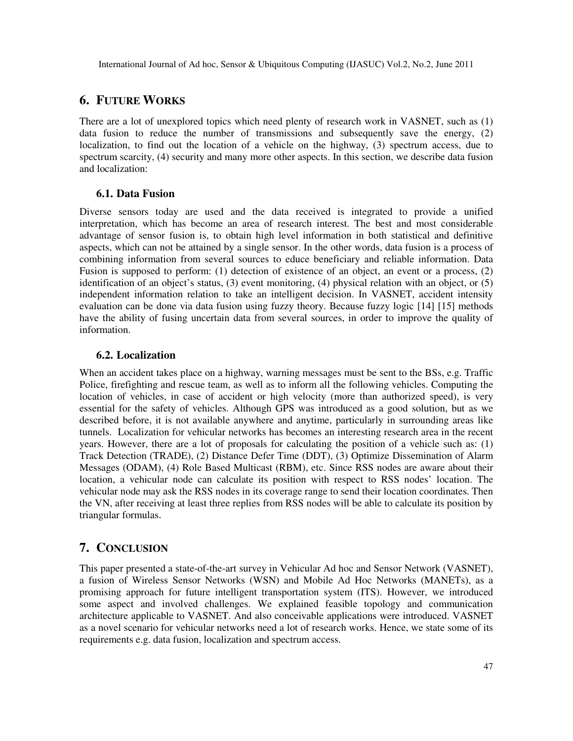# **6. FUTURE WORKS**

There are a lot of unexplored topics which need plenty of research work in VASNET, such as (1) data fusion to reduce the number of transmissions and subsequently save the energy, (2) localization, to find out the location of a vehicle on the highway, (3) spectrum access, due to spectrum scarcity, (4) security and many more other aspects. In this section, we describe data fusion and localization:

#### **6.1. Data Fusion**

Diverse sensors today are used and the data received is integrated to provide a unified interpretation, which has become an area of research interest. The best and most considerable advantage of sensor fusion is, to obtain high level information in both statistical and definitive aspects, which can not be attained by a single sensor. In the other words, data fusion is a process of combining information from several sources to educe beneficiary and reliable information. Data Fusion is supposed to perform: (1) detection of existence of an object, an event or a process, (2) identification of an object's status, (3) event monitoring, (4) physical relation with an object, or (5) independent information relation to take an intelligent decision. In VASNET, accident intensity evaluation can be done via data fusion using fuzzy theory. Because fuzzy logic [14] [15] methods have the ability of fusing uncertain data from several sources, in order to improve the quality of information.

#### **6.2. Localization**

When an accident takes place on a highway, warning messages must be sent to the BSs, e.g. Traffic Police, firefighting and rescue team, as well as to inform all the following vehicles. Computing the location of vehicles, in case of accident or high velocity (more than authorized speed), is very essential for the safety of vehicles. Although GPS was introduced as a good solution, but as we described before, it is not available anywhere and anytime, particularly in surrounding areas like tunnels. Localization for vehicular networks has becomes an interesting research area in the recent years. However, there are a lot of proposals for calculating the position of a vehicle such as: (1) Track Detection (TRADE), (2) Distance Defer Time (DDT), (3) Optimize Dissemination of Alarm Messages (ODAM), (4) Role Based Multicast (RBM), etc. Since RSS nodes are aware about their location, a vehicular node can calculate its position with respect to RSS nodes' location. The vehicular node may ask the RSS nodes in its coverage range to send their location coordinates. Then the VN, after receiving at least three replies from RSS nodes will be able to calculate its position by triangular formulas.

# **7. CONCLUSION**

This paper presented a state-of-the-art survey in Vehicular Ad hoc and Sensor Network (VASNET), a fusion of Wireless Sensor Networks (WSN) and Mobile Ad Hoc Networks (MANETs), as a promising approach for future intelligent transportation system (ITS). However, we introduced some aspect and involved challenges. We explained feasible topology and communication architecture applicable to VASNET. And also conceivable applications were introduced. VASNET as a novel scenario for vehicular networks need a lot of research works. Hence, we state some of its requirements e.g. data fusion, localization and spectrum access.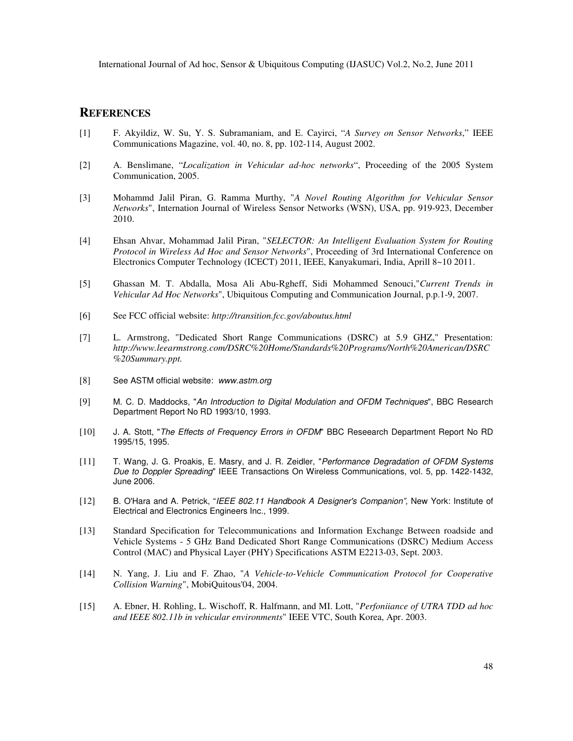#### **REFERENCES**

- [1] F. Akyildiz, W. Su, Y. S. Subramaniam, and E. Cayirci, "*A Survey on Sensor Networks*," IEEE Communications Magazine, vol. 40, no. 8, pp. 102-114, August 2002.
- [2] A. Benslimane, "*Localization in Vehicular ad-hoc networks*", Proceeding of the 2005 System Communication, 2005.
- [3] Mohammd Jalil Piran, G. Ramma Murthy, "*A Novel Routing Algorithm for Vehicular Sensor Networks*", Internation Journal of Wireless Sensor Networks (WSN), USA, pp. 919-923, December 2010.
- [4] Ehsan Ahvar, Mohammad Jalil Piran, "*SELECTOR: An Intelligent Evaluation System for Routing Protocol in Wireless Ad Hoc and Sensor Networks*", Proceeding of 3rd International Conference on Electronics Computer Technology (ICECT) 2011, IEEE, Kanyakumari, India, Aprill 8~10 2011.
- [5] Ghassan M. T. Abdalla, Mosa Ali Abu-Rgheff, Sidi Mohammed Senouci,"*Current Trends in Vehicular Ad Hoc Networks*", Ubiquitous Computing and Communication Journal, p.p.1-9, 2007.
- [6] See FCC official website: *http://transition.fcc.gov/aboutus.html*
- [7] L. Armstrong, "Dedicated Short Range Communications (DSRC) at 5.9 GHZ," Presentation: *http://www.leearmstrong.com/DSRC%20Home/Standards%20Programs/North%20American/DSRC %20Summary.ppt.*
- [8] See ASTM official website: www.astm.org
- [9] M. C. D. Maddocks, "An Introduction to Digital Modulation and OFDM Techniques", BBC Research Department Report No RD 1993/10, 1993.
- [10] J. A. Stott, "The Effects of Frequency Errors in OFDM" BBC Reseearch Department Report No RD 1995/15, 1995.
- [11] T. Wang, J. G. Proakis, E. Masry, and J. R. Zeidler, "Performance Degradation of OFDM Systems Due to Doppler Spreading" IEEE Transactions On Wireless Communications, vol. 5, pp. 1422-1432, June 2006.
- [12] B. O'Hara and A. Petrick, "IEEE 802.11 Handbook A Designer's Companion", New York: Institute of Electrical and Electronics Engineers Inc., 1999.
- [13] Standard Specification for Telecommunications and Information Exchange Between roadside and Vehicle Systems - 5 GHz Band Dedicated Short Range Communications (DSRC) Medium Access Control (MAC) and Physical Layer (PHY) Specifications ASTM E2213-03, Sept. 2003.
- [14] N. Yang, J. Liu and F. Zhao, "*A Vehicle-to-Vehicle Communication Protocol for Cooperative Collision Warning*", MobiQuitous'04, 2004.
- [15] A. Ebner, H. Rohling, L. Wischoff, R. Halfmann, and MI. Lott, "*Perfoniiance of UTRA TDD ad hoc and IEEE 802.11b in vehicular environments*" IEEE VTC, South Korea, Apr. 2003.